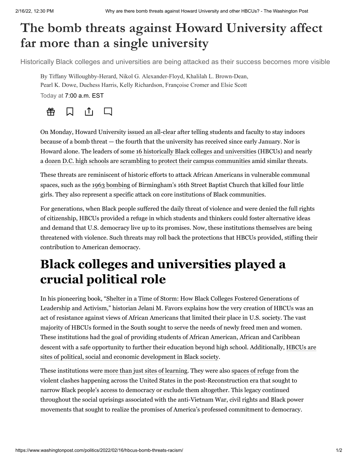## **The bomb threats against Howard University affect far more than a single university**

Historically Black colleges and universities are being attacked as their success becomes more visible

By Tiffany Willoughby-Herard, Nikol G. Alexander-Floyd, Khalilah L. Brown-Dean, Pearl K. Dowe, Duchess Harris, Kelly Richardson, Françoise Cromer and Elsie Scott Today at 7:00 a.m. EST



On Monday, Howard University [issued an all-clear](https://www.washingtonpost.com/education/2022/02/14/howard-university-bomb-threat/?itid=lk_inline_manual_2) after telling students and faculty to stay indoors because of a bomb threat — the fourth that the university has received since early January. Nor is Howard alone. The leaders of some [16 historically Black colleges and universities](https://www.ny1.com/nyc/all-boroughs/education/2022/02/01/bomb-threats-made-against-at-least-14-more-historically-black-colleges) (HBCUs) and nearly a [dozen D.C. high schools](https://www.washingtonpost.com/dc-md-va/2022/02/09/bomb-threat-schools-washington/?itid=lk_inline_manual_2) are [scrambling to protect their campus communities](https://www.ny1.com/nyc/all-boroughs/education/2022/02/01/bomb-threats-made-against-at-least-14-more-historically-black-colleges) amid similar threats.

These threats are reminiscent of historic efforts to attack African Americans in vulnerable communal spaces, such as the [1963 bombing](https://www.fbi.gov/history/famous-cases/baptist-street-church-bombing) of Birmingham's 16th Street Baptist Church that killed four little girls. They also represent a specific attack on core institutions of Black communities.

For generations, when Black people suffered the daily threat of violence and were denied the full rights of citizenship, HBCUs provided a refuge in which students and thinkers could foster alternative ideas and demand that U.S. democracy live up to its promises. Now, these institutions themselves are being threatened with violence. Such threats may roll back the protections that HBCUs provided, stifling their contribution to American democracy.

## **Black colleges and universities played a crucial political role**

[In his pioneering book, "Shelter in a Time of Storm: How Black Colleges Fostered Generations of](https://uncpress.org/book/9781469661445/shelter-in-a-time-of-storm/) Leadership and Activism," historian Jelani M. Favors explains how the very creation of HBCUs was an act of resistance against views of African Americans that limited their place in U.S. society. The vast majority of HBCUs formed in the South sought to serve the needs of newly freed men and women. These institutions had the goal of providing students of African American, African and Caribbean [descent with a safe opportunity to further their education beyond high school. Additionally,](https://journals.sagepub.com/doi/abs/10.1177/0042085902371002) HBCUs are sites of political, social and economic development in Black society.

These institutions were [more than just sites of learning.](https://eric.ed.gov/?id=EJ879716) They were also [spaces of refuge](https://www.tandfonline.com/doi/abs/10.1080/09518398.2017.1312593) from the violent clashes happening across the United States in the post-Reconstruction era that sought to narrow Black people's access to democracy or exclude them altogether. This legacy continued throughout the social uprisings associated with the anti-Vietnam War, civil rights and Black power movements that sought to realize the promises of America's professed commitment to democracy.